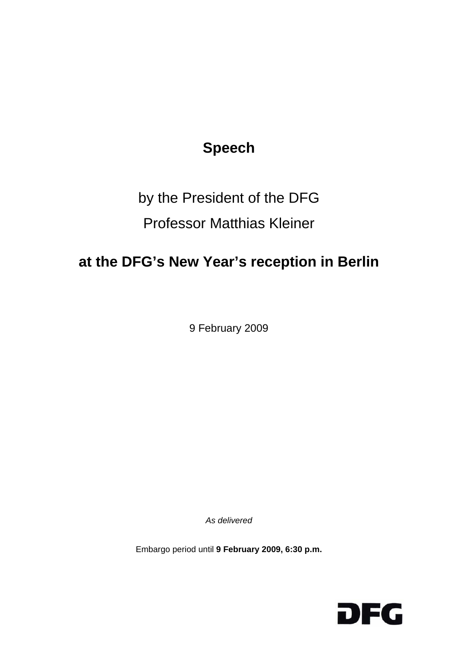## **Speech**

## by the President of the DFG Professor Matthias Kleiner

## **at the DFG's New Year's reception in Berlin**

9 February 2009

*As delivered* 

Embargo period until **9 February 2009, 6:30 p.m.** 

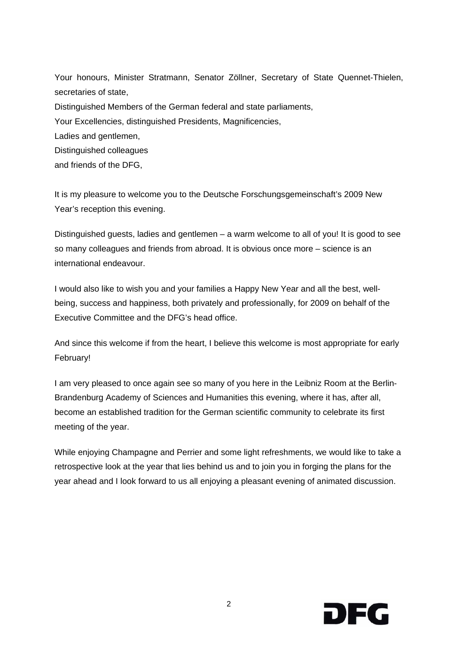Your honours, Minister Stratmann, Senator Zöllner, Secretary of State Quennet-Thielen, secretaries of state, Distinguished Members of the German federal and state parliaments, Your Excellencies, distinguished Presidents, Magnificencies, Ladies and gentlemen, Distinguished colleagues and friends of the DFG,

It is my pleasure to welcome you to the Deutsche Forschungsgemeinschaft's 2009 New Year's reception this evening.

Distinguished guests, ladies and gentlemen – a warm welcome to all of you! It is good to see so many colleagues and friends from abroad. It is obvious once more – science is an international endeavour.

I would also like to wish you and your families a Happy New Year and all the best, wellbeing, success and happiness, both privately and professionally, for 2009 on behalf of the Executive Committee and the DFG's head office.

And since this welcome if from the heart, I believe this welcome is most appropriate for early February!

I am very pleased to once again see so many of you here in the Leibniz Room at the Berlin-Brandenburg Academy of Sciences and Humanities this evening, where it has, after all, become an established tradition for the German scientific community to celebrate its first meeting of the year.

While enjoying Champagne and Perrier and some light refreshments, we would like to take a retrospective look at the year that lies behind us and to join you in forging the plans for the year ahead and I look forward to us all enjoying a pleasant evening of animated discussion.

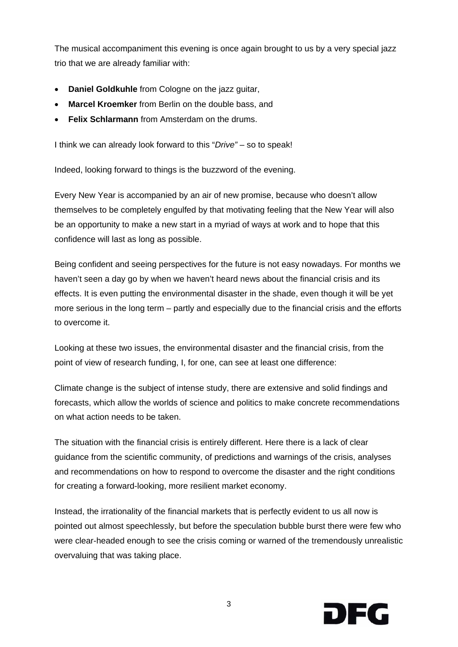The musical accompaniment this evening is once again brought to us by a very special jazz trio that we are already familiar with:

- **Daniel Goldkuhle** from Cologne on the jazz guitar,
- **Marcel Kroemker** from Berlin on the double bass, and
- **Felix Schlarmann** from Amsterdam on the drums.

I think we can already look forward to this "*Drive"* – so to speak!

Indeed, looking forward to things is the buzzword of the evening.

Every New Year is accompanied by an air of new promise, because who doesn't allow themselves to be completely engulfed by that motivating feeling that the New Year will also be an opportunity to make a new start in a myriad of ways at work and to hope that this confidence will last as long as possible.

Being confident and seeing perspectives for the future is not easy nowadays. For months we haven't seen a day go by when we haven't heard news about the financial crisis and its effects. It is even putting the environmental disaster in the shade, even though it will be yet more serious in the long term – partly and especially due to the financial crisis and the efforts to overcome it.

Looking at these two issues, the environmental disaster and the financial crisis, from the point of view of research funding, I, for one, can see at least one difference:

Climate change is the subject of intense study, there are extensive and solid findings and forecasts, which allow the worlds of science and politics to make concrete recommendations on what action needs to be taken.

The situation with the financial crisis is entirely different. Here there is a lack of clear guidance from the scientific community, of predictions and warnings of the crisis, analyses and recommendations on how to respond to overcome the disaster and the right conditions for creating a forward-looking, more resilient market economy.

Instead, the irrationality of the financial markets that is perfectly evident to us all now is pointed out almost speechlessly, but before the speculation bubble burst there were few who were clear-headed enough to see the crisis coming or warned of the tremendously unrealistic overvaluing that was taking place.

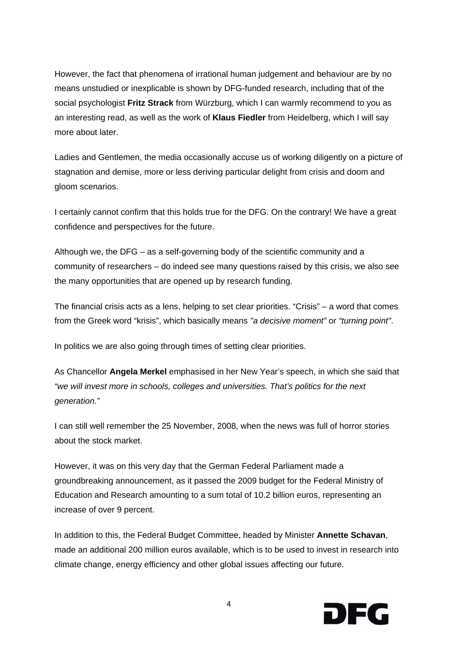However, the fact that phenomena of irrational human judgement and behaviour are by no means unstudied or inexplicable is shown by DFG-funded research, including that of the social psychologist **Fritz Strack** from Würzburg, which I can warmly recommend to you as an interesting read, as well as the work of **Klaus Fiedler** from Heidelberg, which I will say more about later.

Ladies and Gentlemen, the media occasionally accuse us of working diligently on a picture of stagnation and demise, more or less deriving particular delight from crisis and doom and gloom scenarios.

I certainly cannot confirm that this holds true for the DFG. On the contrary! We have a great confidence and perspectives for the future.

Although we, the DFG – as a self-governing body of the scientific community and a community of researchers – do indeed see many questions raised by this crisis, we also see the many opportunities that are opened up by research funding.

The financial crisis acts as a lens, helping to set clear priorities. "Crisis" – a word that comes from the Greek word "krisis", which basically means *"a decisive moment"* or *"turning point"*.

In politics we are also going through times of setting clear priorities.

As Chancellor **Angela Merkel** emphasised in her New Year's speech, in which she said that *"we will invest more in schools, colleges and universities. That's politics for the next generation."*

I can still well remember the 25 November, 2008, when the news was full of horror stories about the stock market.

However, it was on this very day that the German Federal Parliament made a groundbreaking announcement, as it passed the 2009 budget for the Federal Ministry of Education and Research amounting to a sum total of 10.2 billion euros, representing an increase of over 9 percent.

In addition to this, the Federal Budget Committee, headed by Minister **Annette Schavan**, made an additional 200 million euros available, which is to be used to invest in research into climate change, energy efficiency and other global issues affecting our future.

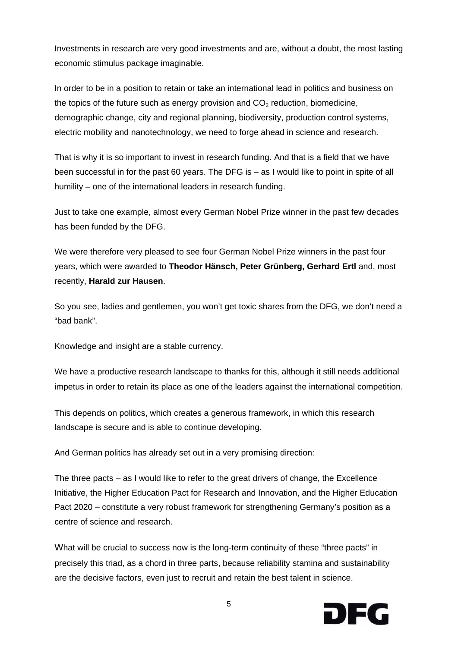Investments in research are very good investments and are, without a doubt, the most lasting economic stimulus package imaginable.

In order to be in a position to retain or take an international lead in politics and business on the topics of the future such as energy provision and  $CO<sub>2</sub>$  reduction, biomedicine, demographic change, city and regional planning, biodiversity, production control systems, electric mobility and nanotechnology, we need to forge ahead in science and research.

That is why it is so important to invest in research funding. And that is a field that we have been successful in for the past 60 years. The DFG is – as I would like to point in spite of all humility – one of the international leaders in research funding.

Just to take one example, almost every German Nobel Prize winner in the past few decades has been funded by the DFG.

We were therefore very pleased to see four German Nobel Prize winners in the past four years, which were awarded to **Theodor Hänsch, Peter Grünberg, Gerhard Ertl** and, most recently, **Harald zur Hausen**.

So you see, ladies and gentlemen, you won't get toxic shares from the DFG, we don't need a "bad bank".

Knowledge and insight are a stable currency.

We have a productive research landscape to thanks for this, although it still needs additional impetus in order to retain its place as one of the leaders against the international competition.

This depends on politics, which creates a generous framework, in which this research landscape is secure and is able to continue developing.

And German politics has already set out in a very promising direction:

The three pacts – as I would like to refer to the great drivers of change, the Excellence Initiative, the Higher Education Pact for Research and Innovation, and the Higher Education Pact 2020 – constitute a very robust framework for strengthening Germany's position as a centre of science and research.

What will be crucial to success now is the long-term continuity of these "three pacts" in precisely this triad, as a chord in three parts, because reliability stamina and sustainability are the decisive factors, even just to recruit and retain the best talent in science.

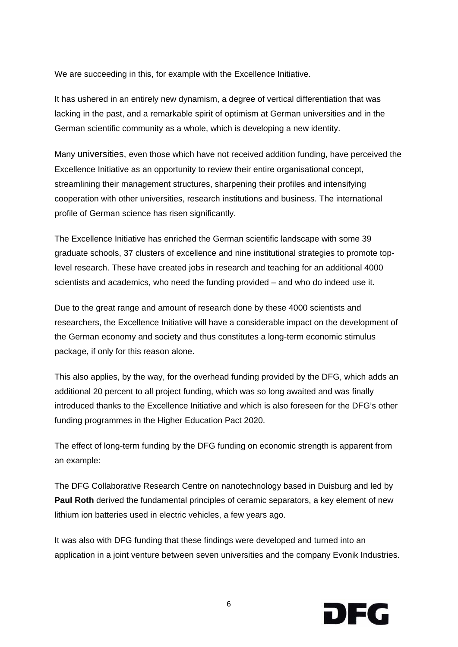We are succeeding in this, for example with the Excellence Initiative.

It has ushered in an entirely new dynamism, a degree of vertical differentiation that was lacking in the past, and a remarkable spirit of optimism at German universities and in the German scientific community as a whole, which is developing a new identity.

Many universities, even those which have not received addition funding, have perceived the Excellence Initiative as an opportunity to review their entire organisational concept, streamlining their management structures, sharpening their profiles and intensifying cooperation with other universities, research institutions and business. The international profile of German science has risen significantly.

The Excellence Initiative has enriched the German scientific landscape with some 39 graduate schools, 37 clusters of excellence and nine institutional strategies to promote toplevel research. These have created jobs in research and teaching for an additional 4000 scientists and academics, who need the funding provided – and who do indeed use it.

Due to the great range and amount of research done by these 4000 scientists and researchers, the Excellence Initiative will have a considerable impact on the development of the German economy and society and thus constitutes a long-term economic stimulus package, if only for this reason alone.

This also applies, by the way, for the overhead funding provided by the DFG, which adds an additional 20 percent to all project funding, which was so long awaited and was finally introduced thanks to the Excellence Initiative and which is also foreseen for the DFG's other funding programmes in the Higher Education Pact 2020.

The effect of long-term funding by the DFG funding on economic strength is apparent from an example:

The DFG Collaborative Research Centre on nanotechnology based in Duisburg and led by **Paul Roth** derived the fundamental principles of ceramic separators, a key element of new lithium ion batteries used in electric vehicles, a few years ago.

It was also with DFG funding that these findings were developed and turned into an application in a joint venture between seven universities and the company Evonik Industries.

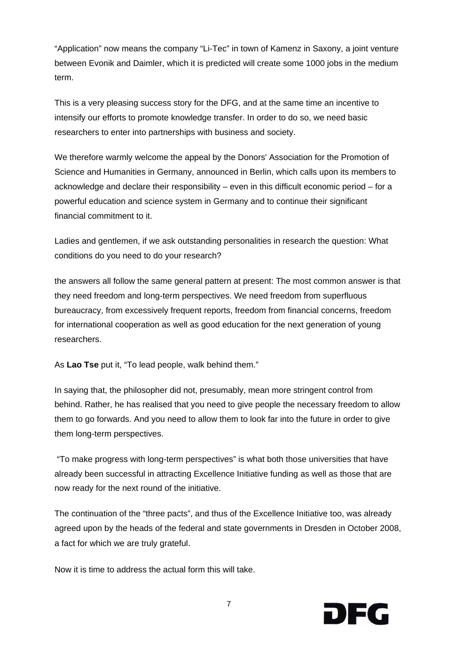"Application" now means the company "Li-Tec" in town of Kamenz in Saxony, a joint venture between Evonik and Daimler, which it is predicted will create some 1000 jobs in the medium term.

This is a very pleasing success story for the DFG, and at the same time an incentive to intensify our efforts to promote knowledge transfer. In order to do so, we need basic researchers to enter into partnerships with business and society.

We therefore warmly welcome the appeal by the Donors' Association for the Promotion of Science and Humanities in Germany, announced in Berlin, which calls upon its members to acknowledge and declare their responsibility – even in this difficult economic period – for a powerful education and science system in Germany and to continue their significant financial commitment to it.

Ladies and gentlemen, if we ask outstanding personalities in research the question: What conditions do you need to do your research?

the answers all follow the same general pattern at present: The most common answer is that they need freedom and long-term perspectives. We need freedom from superfluous bureaucracy, from excessively frequent reports, freedom from financial concerns, freedom for international cooperation as well as good education for the next generation of young researchers.

As **Lao Tse** put it, "To lead people, walk behind them."

In saying that, the philosopher did not, presumably, mean more stringent control from behind. Rather, he has realised that you need to give people the necessary freedom to allow them to go forwards. And you need to allow them to look far into the future in order to give them long-term perspectives.

"To make progress with long-term perspectives" is what both those universities that have already been successful in attracting Excellence Initiative funding as well as those that are now ready for the next round of the initiative.

The continuation of the "three pacts", and thus of the Excellence Initiative too, was already agreed upon by the heads of the federal and state governments in Dresden in October 2008, a fact for which we are truly grateful.

Now it is time to address the actual form this will take.

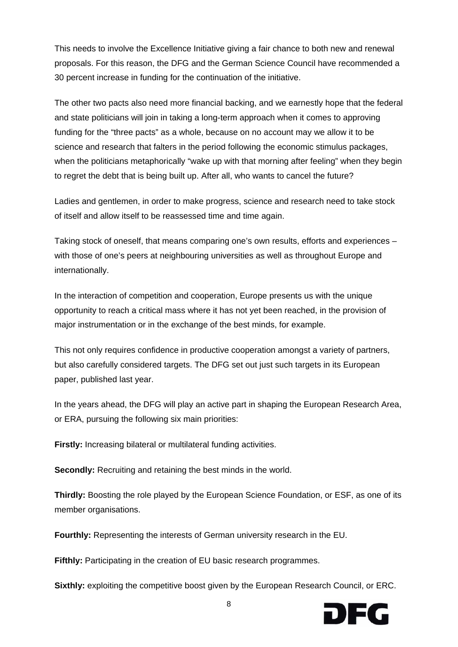This needs to involve the Excellence Initiative giving a fair chance to both new and renewal proposals. For this reason, the DFG and the German Science Council have recommended a 30 percent increase in funding for the continuation of the initiative.

The other two pacts also need more financial backing, and we earnestly hope that the federal and state politicians will join in taking a long-term approach when it comes to approving funding for the "three pacts" as a whole, because on no account may we allow it to be science and research that falters in the period following the economic stimulus packages, when the politicians metaphorically "wake up with that morning after feeling" when they begin to regret the debt that is being built up. After all, who wants to cancel the future?

Ladies and gentlemen, in order to make progress, science and research need to take stock of itself and allow itself to be reassessed time and time again.

Taking stock of oneself, that means comparing one's own results, efforts and experiences – with those of one's peers at neighbouring universities as well as throughout Europe and internationally.

In the interaction of competition and cooperation, Europe presents us with the unique opportunity to reach a critical mass where it has not yet been reached, in the provision of major instrumentation or in the exchange of the best minds, for example.

This not only requires confidence in productive cooperation amongst a variety of partners, but also carefully considered targets. The DFG set out just such targets in its European paper, published last year.

In the years ahead, the DFG will play an active part in shaping the European Research Area, or ERA, pursuing the following six main priorities:

**Firstly:** Increasing bilateral or multilateral funding activities.

**Secondly:** Recruiting and retaining the best minds in the world.

**Thirdly:** Boosting the role played by the European Science Foundation, or ESF, as one of its member organisations.

**Fourthly:** Representing the interests of German university research in the EU.

**Fifthly:** Participating in the creation of EU basic research programmes.

**Sixthly:** exploiting the competitive boost given by the European Research Council, or ERC.

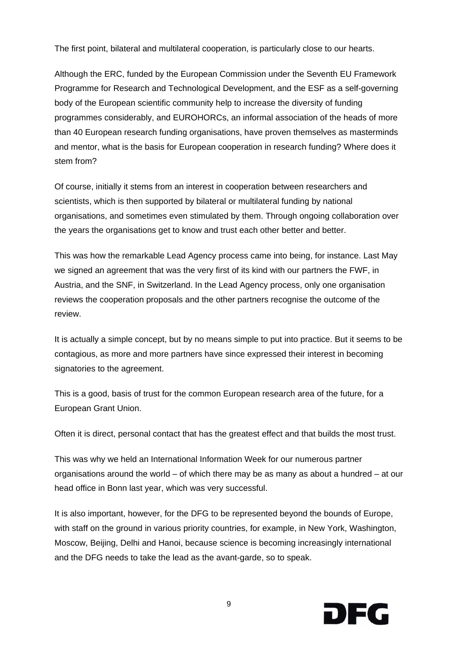The first point, bilateral and multilateral cooperation, is particularly close to our hearts.

Although the ERC, funded by the European Commission under the Seventh EU Framework Programme for Research and Technological Development, and the ESF as a self-governing body of the European scientific community help to increase the diversity of funding programmes considerably, and EUROHORCs, an informal association of the heads of more than 40 European research funding organisations, have proven themselves as masterminds and mentor, what is the basis for European cooperation in research funding? Where does it stem from?

Of course, initially it stems from an interest in cooperation between researchers and scientists, which is then supported by bilateral or multilateral funding by national organisations, and sometimes even stimulated by them. Through ongoing collaboration over the years the organisations get to know and trust each other better and better.

This was how the remarkable Lead Agency process came into being, for instance. Last May we signed an agreement that was the very first of its kind with our partners the FWF, in Austria, and the SNF, in Switzerland. In the Lead Agency process, only one organisation reviews the cooperation proposals and the other partners recognise the outcome of the review.

It is actually a simple concept, but by no means simple to put into practice. But it seems to be contagious, as more and more partners have since expressed their interest in becoming signatories to the agreement.

This is a good, basis of trust for the common European research area of the future, for a European Grant Union.

Often it is direct, personal contact that has the greatest effect and that builds the most trust.

This was why we held an International Information Week for our numerous partner organisations around the world – of which there may be as many as about a hundred – at our head office in Bonn last year, which was very successful.

It is also important, however, for the DFG to be represented beyond the bounds of Europe, with staff on the ground in various priority countries, for example, in New York, Washington, Moscow, Beijing, Delhi and Hanoi, because science is becoming increasingly international and the DFG needs to take the lead as the avant-garde, so to speak.

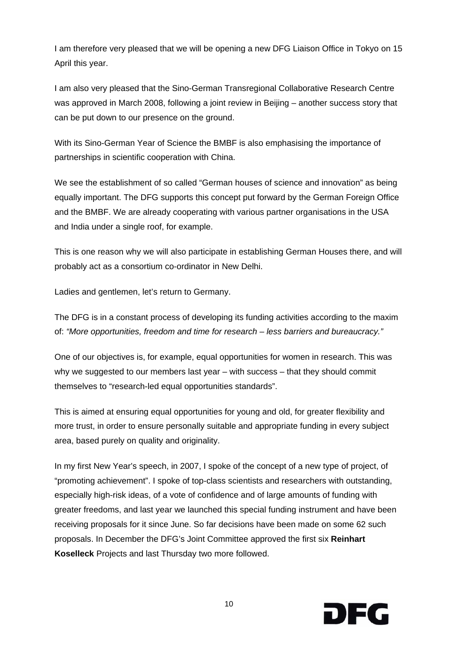I am therefore very pleased that we will be opening a new DFG Liaison Office in Tokyo on 15 April this year.

I am also very pleased that the Sino-German Transregional Collaborative Research Centre was approved in March 2008, following a joint review in Beijing – another success story that can be put down to our presence on the ground.

With its Sino-German Year of Science the BMBF is also emphasising the importance of partnerships in scientific cooperation with China.

We see the establishment of so called "German houses of science and innovation" as being equally important. The DFG supports this concept put forward by the German Foreign Office and the BMBF. We are already cooperating with various partner organisations in the USA and India under a single roof, for example.

This is one reason why we will also participate in establishing German Houses there, and will probably act as a consortium co-ordinator in New Delhi.

Ladies and gentlemen, let's return to Germany.

The DFG is in a constant process of developing its funding activities according to the maxim of: *"More opportunities, freedom and time for research – less barriers and bureaucracy."*

One of our objectives is, for example, equal opportunities for women in research. This was why we suggested to our members last year – with success – that they should commit themselves to "research-led equal opportunities standards".

This is aimed at ensuring equal opportunities for young and old, for greater flexibility and more trust, in order to ensure personally suitable and appropriate funding in every subject area, based purely on quality and originality.

In my first New Year's speech, in 2007, I spoke of the concept of a new type of project, of "promoting achievement". I spoke of top-class scientists and researchers with outstanding, especially high-risk ideas, of a vote of confidence and of large amounts of funding with greater freedoms, and last year we launched this special funding instrument and have been receiving proposals for it since June. So far decisions have been made on some 62 such proposals. In December the DFG's Joint Committee approved the first six **Reinhart Koselleck** Projects and last Thursday two more followed.

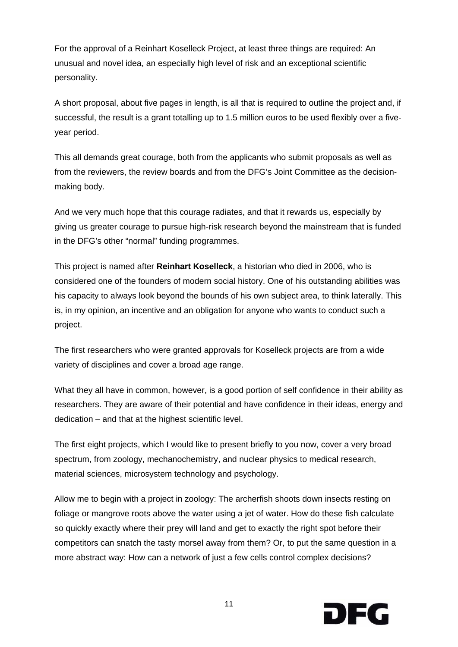For the approval of a Reinhart Koselleck Project, at least three things are required: An unusual and novel idea, an especially high level of risk and an exceptional scientific personality.

A short proposal, about five pages in length, is all that is required to outline the project and, if successful, the result is a grant totalling up to 1.5 million euros to be used flexibly over a fiveyear period.

This all demands great courage, both from the applicants who submit proposals as well as from the reviewers, the review boards and from the DFG's Joint Committee as the decisionmaking body.

And we very much hope that this courage radiates, and that it rewards us, especially by giving us greater courage to pursue high-risk research beyond the mainstream that is funded in the DFG's other "normal" funding programmes.

This project is named after **Reinhart Koselleck**, a historian who died in 2006, who is considered one of the founders of modern social history. One of his outstanding abilities was his capacity to always look beyond the bounds of his own subject area, to think laterally. This is, in my opinion, an incentive and an obligation for anyone who wants to conduct such a project.

The first researchers who were granted approvals for Koselleck projects are from a wide variety of disciplines and cover a broad age range.

What they all have in common, however, is a good portion of self confidence in their ability as researchers. They are aware of their potential and have confidence in their ideas, energy and dedication – and that at the highest scientific level.

The first eight projects, which I would like to present briefly to you now, cover a very broad spectrum, from zoology, mechanochemistry, and nuclear physics to medical research, material sciences, microsystem technology and psychology.

Allow me to begin with a project in zoology: The archerfish shoots down insects resting on foliage or mangrove roots above the water using a jet of water. How do these fish calculate so quickly exactly where their prey will land and get to exactly the right spot before their competitors can snatch the tasty morsel away from them? Or, to put the same question in a more abstract way: How can a network of just a few cells control complex decisions?

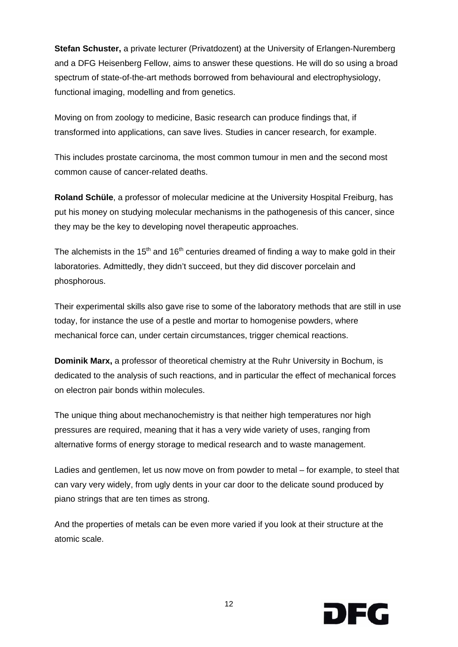**Stefan Schuster,** a private lecturer (Privatdozent) at the University of Erlangen-Nuremberg and a DFG Heisenberg Fellow, aims to answer these questions. He will do so using a broad spectrum of state-of-the-art methods borrowed from behavioural and electrophysiology, functional imaging, modelling and from genetics.

Moving on from zoology to medicine, Basic research can produce findings that, if transformed into applications, can save lives. Studies in cancer research, for example.

This includes prostate carcinoma, the most common tumour in men and the second most common cause of cancer-related deaths.

**Roland Schüle**, a professor of molecular medicine at the University Hospital Freiburg, has put his money on studying molecular mechanisms in the pathogenesis of this cancer, since they may be the key to developing novel therapeutic approaches.

The alchemists in the 15<sup>th</sup> and 16<sup>th</sup> centuries dreamed of finding a way to make gold in their laboratories. Admittedly, they didn't succeed, but they did discover porcelain and phosphorous.

Their experimental skills also gave rise to some of the laboratory methods that are still in use today, for instance the use of a pestle and mortar to homogenise powders, where mechanical force can, under certain circumstances, trigger chemical reactions.

**Dominik Marx,** a professor of theoretical chemistry at the Ruhr University in Bochum, is dedicated to the analysis of such reactions, and in particular the effect of mechanical forces on electron pair bonds within molecules.

The unique thing about mechanochemistry is that neither high temperatures nor high pressures are required, meaning that it has a very wide variety of uses, ranging from alternative forms of energy storage to medical research and to waste management.

Ladies and gentlemen, let us now move on from powder to metal – for example, to steel that can vary very widely, from ugly dents in your car door to the delicate sound produced by piano strings that are ten times as strong.

And the properties of metals can be even more varied if you look at their structure at the atomic scale.

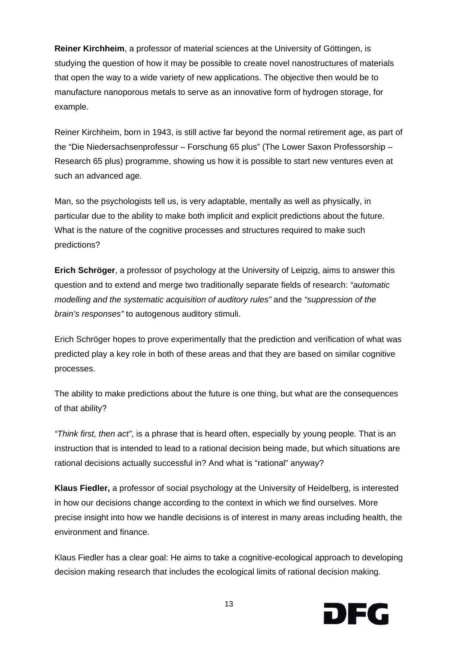**Reiner Kirchheim**, a professor of material sciences at the University of Göttingen, is studying the question of how it may be possible to create novel nanostructures of materials that open the way to a wide variety of new applications. The objective then would be to manufacture nanoporous metals to serve as an innovative form of hydrogen storage, for example.

Reiner Kirchheim, born in 1943, is still active far beyond the normal retirement age, as part of the "Die Niedersachsenprofessur – Forschung 65 plus" (The Lower Saxon Professorship – Research 65 plus) programme, showing us how it is possible to start new ventures even at such an advanced age.

Man, so the psychologists tell us, is very adaptable, mentally as well as physically, in particular due to the ability to make both implicit and explicit predictions about the future. What is the nature of the cognitive processes and structures required to make such predictions?

**Erich Schröger**, a professor of psychology at the University of Leipzig, aims to answer this question and to extend and merge two traditionally separate fields of research: *"automatic modelling and the systematic acquisition of auditory rules"* and the *"suppression of the brain's responses"* to autogenous auditory stimuli.

Erich Schröger hopes to prove experimentally that the prediction and verification of what was predicted play a key role in both of these areas and that they are based on similar cognitive processes.

The ability to make predictions about the future is one thing, but what are the consequences of that ability?

*"Think first, then act"*, is a phrase that is heard often, especially by young people. That is an instruction that is intended to lead to a rational decision being made, but which situations are rational decisions actually successful in? And what is "rational" anyway?

**Klaus Fiedler,** a professor of social psychology at the University of Heidelberg, is interested in how our decisions change according to the context in which we find ourselves. More precise insight into how we handle decisions is of interest in many areas including health, the environment and finance.

Klaus Fiedler has a clear goal: He aims to take a cognitive-ecological approach to developing decision making research that includes the ecological limits of rational decision making.

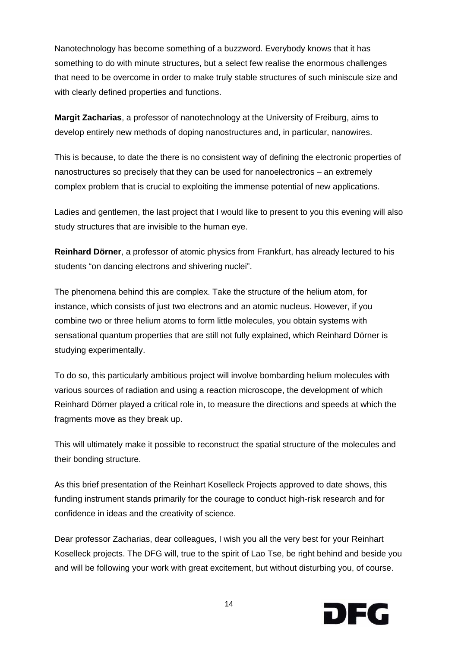Nanotechnology has become something of a buzzword. Everybody knows that it has something to do with minute structures, but a select few realise the enormous challenges that need to be overcome in order to make truly stable structures of such miniscule size and with clearly defined properties and functions.

**Margit Zacharias**, a professor of nanotechnology at the University of Freiburg, aims to develop entirely new methods of doping nanostructures and, in particular, nanowires.

This is because, to date the there is no consistent way of defining the electronic properties of nanostructures so precisely that they can be used for nanoelectronics – an extremely complex problem that is crucial to exploiting the immense potential of new applications.

Ladies and gentlemen, the last project that I would like to present to you this evening will also study structures that are invisible to the human eye.

**Reinhard Dörner**, a professor of atomic physics from Frankfurt, has already lectured to his students "on dancing electrons and shivering nuclei".

The phenomena behind this are complex. Take the structure of the helium atom, for instance, which consists of just two electrons and an atomic nucleus. However, if you combine two or three helium atoms to form little molecules, you obtain systems with sensational quantum properties that are still not fully explained, which Reinhard Dörner is studying experimentally.

To do so, this particularly ambitious project will involve bombarding helium molecules with various sources of radiation and using a reaction microscope, the development of which Reinhard Dörner played a critical role in, to measure the directions and speeds at which the fragments move as they break up.

This will ultimately make it possible to reconstruct the spatial structure of the molecules and their bonding structure.

As this brief presentation of the Reinhart Koselleck Projects approved to date shows, this funding instrument stands primarily for the courage to conduct high-risk research and for confidence in ideas and the creativity of science.

Dear professor Zacharias, dear colleagues, I wish you all the very best for your Reinhart Koselleck projects. The DFG will, true to the spirit of Lao Tse, be right behind and beside you and will be following your work with great excitement, but without disturbing you, of course.

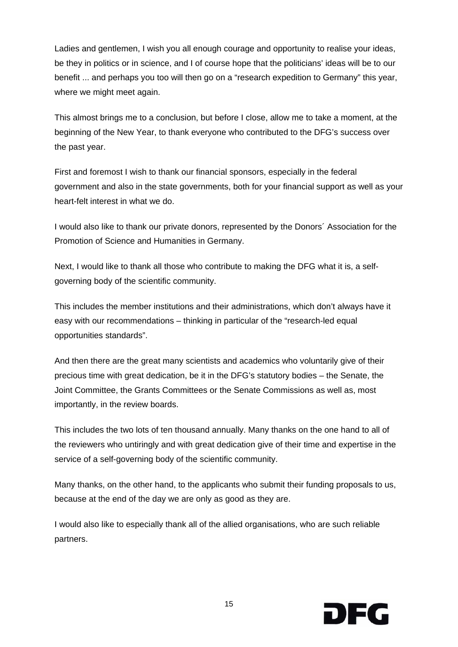Ladies and gentlemen, I wish you all enough courage and opportunity to realise your ideas, be they in politics or in science, and I of course hope that the politicians' ideas will be to our benefit ... and perhaps you too will then go on a "research expedition to Germany" this year, where we might meet again.

This almost brings me to a conclusion, but before I close, allow me to take a moment, at the beginning of the New Year, to thank everyone who contributed to the DFG's success over the past year.

First and foremost I wish to thank our financial sponsors, especially in the federal government and also in the state governments, both for your financial support as well as your heart-felt interest in what we do.

I would also like to thank our private donors, represented by the Donors´ Association for the Promotion of Science and Humanities in Germany.

Next, I would like to thank all those who contribute to making the DFG what it is, a selfgoverning body of the scientific community.

This includes the member institutions and their administrations, which don't always have it easy with our recommendations – thinking in particular of the "research-led equal opportunities standards".

And then there are the great many scientists and academics who voluntarily give of their precious time with great dedication, be it in the DFG's statutory bodies – the Senate, the Joint Committee, the Grants Committees or the Senate Commissions as well as, most importantly, in the review boards.

This includes the two lots of ten thousand annually. Many thanks on the one hand to all of the reviewers who untiringly and with great dedication give of their time and expertise in the service of a self-governing body of the scientific community.

Many thanks, on the other hand, to the applicants who submit their funding proposals to us, because at the end of the day we are only as good as they are.

I would also like to especially thank all of the allied organisations, who are such reliable partners.